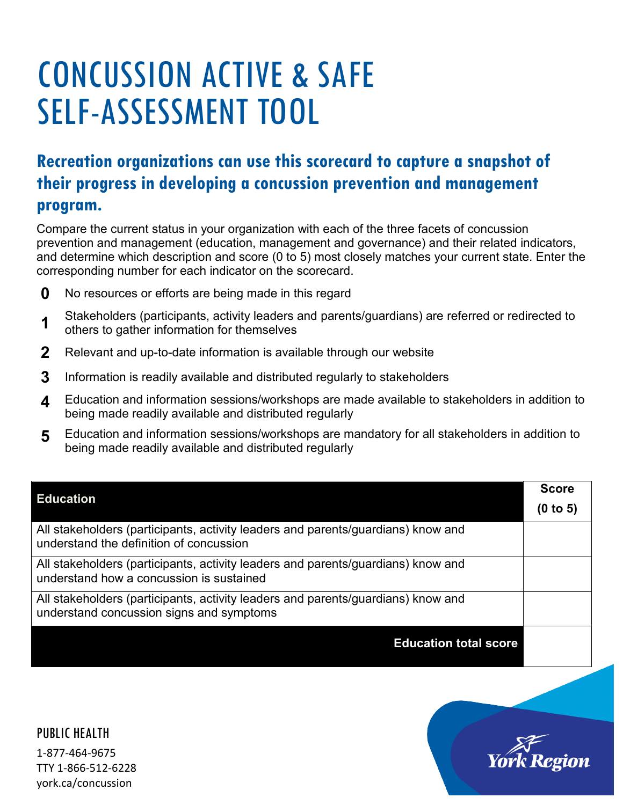# CONCUSSION ACTIVE & SAFE SELF-ASSESSMENT TOOL

## **Recreation organizations can use this scorecard to capture a snapshot of their progress in developing a concussion prevention and management program.**

Compare the current status in your organization with each of the three facets of concussion prevention and management (education, management and governance) and their related indicators, and determine which description and score (0 to 5) most closely matches your current state. Enter the corresponding number for each indicator on the scorecard.

- **0** No resources or efforts are being made in this regard
- **1** Stakeholders (participants, activity leaders and parents/guardians) are referred or redirected to others to gather information for themselves
- **2** Relevant and up-to-date information is available through our website
- **3** Information is readily available and distributed regularly to stakeholders
- **4** Education and information sessions/workshops are made available to stakeholders in addition to being made readily available and distributed regularly
- **5** Education and information sessions/workshops are mandatory for all stakeholders in addition to being made readily available and distributed regularly

| <b>Education</b>                                                                                                             | <b>Score</b><br>(0 to 5) |
|------------------------------------------------------------------------------------------------------------------------------|--------------------------|
| All stakeholders (participants, activity leaders and parents/guardians) know and<br>understand the definition of concussion  |                          |
| All stakeholders (participants, activity leaders and parents/guardians) know and<br>understand how a concussion is sustained |                          |
| All stakeholders (participants, activity leaders and parents/guardians) know and<br>understand concussion signs and symptoms |                          |
| <b>Education total score</b>                                                                                                 |                          |

PUBLIC HEALTH

1-877-464-9675 TTY 1-866-512-6228 york.ca/concussion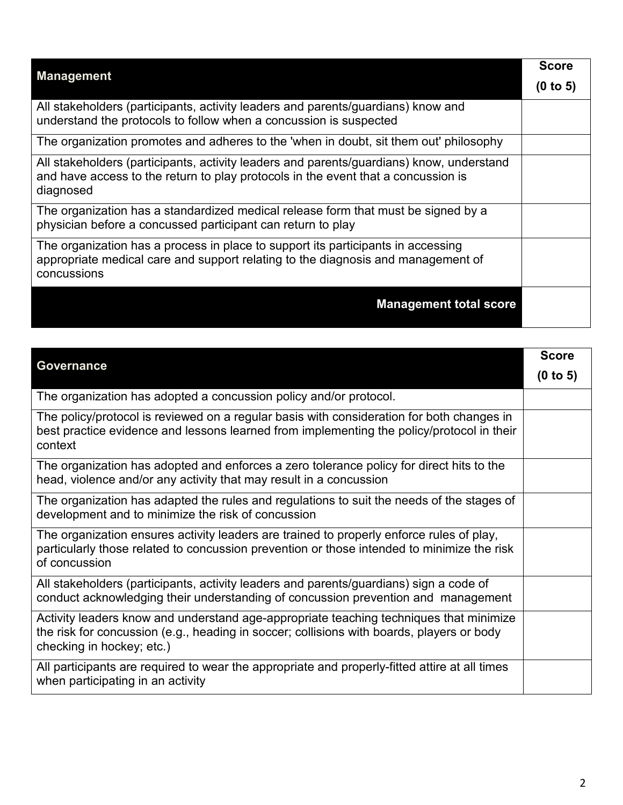| <b>Management</b>                                                                                                                                                                          |          |
|--------------------------------------------------------------------------------------------------------------------------------------------------------------------------------------------|----------|
|                                                                                                                                                                                            | (0 to 5) |
| All stakeholders (participants, activity leaders and parents/guardians) know and<br>understand the protocols to follow when a concussion is suspected                                      |          |
| The organization promotes and adheres to the 'when in doubt, sit them out' philosophy                                                                                                      |          |
| All stakeholders (participants, activity leaders and parents/guardians) know, understand<br>and have access to the return to play protocols in the event that a concussion is<br>diagnosed |          |
| The organization has a standardized medical release form that must be signed by a<br>physician before a concussed participant can return to play                                           |          |
| The organization has a process in place to support its participants in accessing<br>appropriate medical care and support relating to the diagnosis and management of<br>concussions        |          |
| <b>Management total score</b>                                                                                                                                                              |          |

| Governance                                                                                                                                                                                                       | <b>Score</b> |
|------------------------------------------------------------------------------------------------------------------------------------------------------------------------------------------------------------------|--------------|
|                                                                                                                                                                                                                  | (0 to 5)     |
| The organization has adopted a concussion policy and/or protocol.                                                                                                                                                |              |
| The policy/protocol is reviewed on a regular basis with consideration for both changes in<br>best practice evidence and lessons learned from implementing the policy/protocol in their<br>context                |              |
| The organization has adopted and enforces a zero tolerance policy for direct hits to the<br>head, violence and/or any activity that may result in a concussion                                                   |              |
| The organization has adapted the rules and regulations to suit the needs of the stages of<br>development and to minimize the risk of concussion                                                                  |              |
| The organization ensures activity leaders are trained to properly enforce rules of play,<br>particularly those related to concussion prevention or those intended to minimize the risk<br>of concussion          |              |
| All stakeholders (participants, activity leaders and parents/guardians) sign a code of<br>conduct acknowledging their understanding of concussion prevention and management                                      |              |
| Activity leaders know and understand age-appropriate teaching techniques that minimize<br>the risk for concussion (e.g., heading in soccer; collisions with boards, players or body<br>checking in hockey; etc.) |              |
| All participants are required to wear the appropriate and properly-fitted attire at all times<br>when participating in an activity                                                                               |              |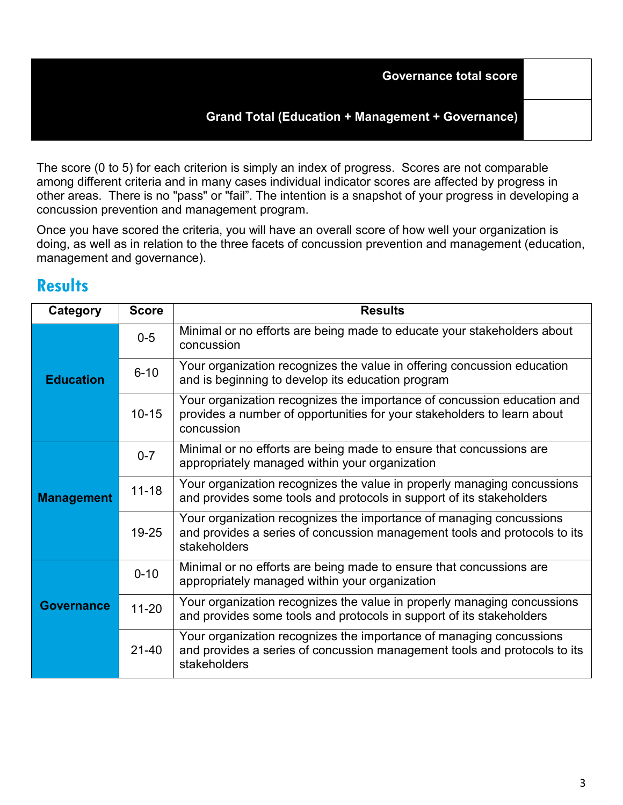### **Grand Total (Education + Management + Governance)**

The score (0 to 5) for each criterion is simply an index of progress. Scores are not comparable among different criteria and in many cases individual indicator scores are affected by progress in other areas. There is no "pass" or "fail". The intention is a snapshot of your progress in developing a concussion prevention and management program.

Once you have scored the criteria, you will have an overall score of how well your organization is doing, as well as in relation to the three facets of concussion prevention and management (education, management and governance).

## **Results**

| Category          | <b>Score</b> | <b>Results</b>                                                                                                                                                   |
|-------------------|--------------|------------------------------------------------------------------------------------------------------------------------------------------------------------------|
| <b>Education</b>  | $0-5$        | Minimal or no efforts are being made to educate your stakeholders about<br>concussion                                                                            |
|                   | $6 - 10$     | Your organization recognizes the value in offering concussion education<br>and is beginning to develop its education program                                     |
|                   | $10 - 15$    | Your organization recognizes the importance of concussion education and<br>provides a number of opportunities for your stakeholders to learn about<br>concussion |
| <b>Management</b> | $0 - 7$      | Minimal or no efforts are being made to ensure that concussions are<br>appropriately managed within your organization                                            |
|                   | $11 - 18$    | Your organization recognizes the value in properly managing concussions<br>and provides some tools and protocols in support of its stakeholders                  |
|                   | 19-25        | Your organization recognizes the importance of managing concussions<br>and provides a series of concussion management tools and protocols to its<br>stakeholders |
| <b>Governance</b> | $0 - 10$     | Minimal or no efforts are being made to ensure that concussions are<br>appropriately managed within your organization                                            |
|                   | $11 - 20$    | Your organization recognizes the value in properly managing concussions<br>and provides some tools and protocols in support of its stakeholders                  |
|                   | $21 - 40$    | Your organization recognizes the importance of managing concussions<br>and provides a series of concussion management tools and protocols to its<br>stakeholders |